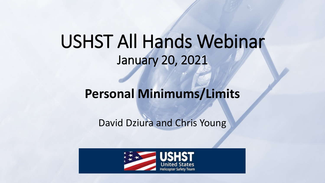# USHST All Hands Webinar January 20, 2021

# **Personal Minimums/Limits**

# David Dziura and Chris Young

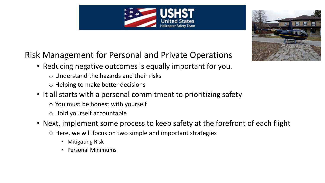## Risk Management for Personal and Private Operations

- Reducing negative outcomes is equally important for you.
	- $\circ$  Understand the hazards and their risks
	- o Helping to make better decisions
- It all starts with a personal commitment to prioritizing safety
	- $\circ$  You must be honest with yourself
	- o Hold yourself accountable
- Next, implement some process to keep safety at the forefront of each flight
	- o Here, we will focus on two simple and important strategies
		- Mitigating Risk
		- Personal Minimums



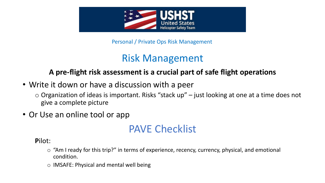

Personal / Private Ops Risk Management

# Risk Management

## **A pre-flight risk assessment is a crucial part of safe flight operations**

• Write it down or have a discussion with a peer

 $\circ$  Organization of ideas is important. Risks "stack up" – just looking at one at a time does not give a complete picture

• Or Use an online tool or app

# PAVE Checklist

**P**ilot:

- o "Am I ready for this trip?" in terms of experience, recency, currency, physical, and emotional condition.
- o IMSAFE: Physical and mental well being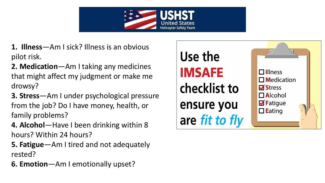

- **1. Illness**—Am I sick? Illness is an obvious pilot risk.
- **2. Medication**—Am I taking any medicines that might affect my judgment or make me drowsy?
- **3. Stress**—Am I under psychological pressure from the job? Do I have money, health, or family problems?
- **4. Alcohol**—Have I been drinking within 8 hours? Within 24 hours?
- **5. Fatigue**—Am I tired and not adequately rested?
- **6. Emotion**—Am I emotionally upset?

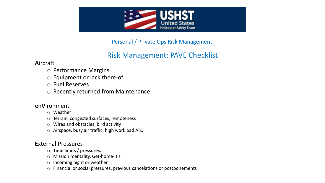

Personal / Private Ops Risk Management

## Risk Management: PAVE Checklist

#### **A**ircraft

- o Performance Margins
- o Equipment or lack there-of
- o Fuel Reserves
- o Recently returned from Maintenance

#### en**V**ironment

- o Weather
- o Terrain, congested surfaces, remoteness
- o Wires and obstacles, bird activity
- o Airspace, busy air traffic, high workload ATC

#### **E**xternal Pressures

- o Time limits / pressures.
- o Mission mentality, Get-home-itis
- o Incoming night or weather
- o Financial or social pressures, previous cancelations or postponements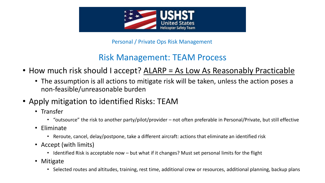

Personal / Private Ops Risk Management

## Risk Management: TEAM Process

- How much risk should I accept? ALARP = As Low As Reasonably Practicable
	- The assumption is all actions to mitigate risk will be taken, unless the action poses a non-feasible/unreasonable burden
- Apply mitigation to identified Risks: TEAM
	- Transfer
		- "outsource" the risk to another party/pilot/provider not often preferable in Personal/Private, but still effective
	- Eliminate
		- Reroute, cancel, delay/postpone, take a different aircraft: actions that eliminate an identified risk
	- Accept (with limits)
		- Identified Risk is acceptable now but what if it changes? Must set personal limits for the flight
	- Mitigate
		- Selected routes and altitudes, training, rest time, additional crew or resources, additional planning, backup plans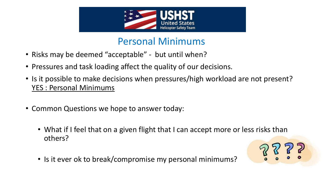

# Personal Minimums

- Risks may be deemed "acceptable" but until when?
- Pressures and task loading affect the quality of our decisions.
- Is it possible to make decisions when pressures/high workload are not present? YES : Personal Minimums
- Common Questions we hope to answer today:
	- What if I feel that on a given flight that I can accept more or less risks than others?
	- Is it ever ok to break/compromise my personal minimums?

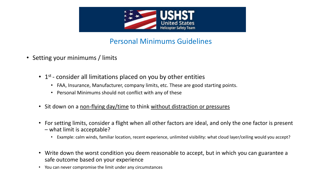

### Personal Minimums Guidelines

- Setting your minimums / limits
	- $\cdot$  1<sup>st</sup> consider all limitations placed on you by other entities
		- FAA, Insurance, Manufacturer, company limits, etc. These are good starting points.
		- Personal Minimums should not conflict with any of these
	- Sit down on a non-flying day/time to think without distraction or pressures
	- For setting limits, consider a flight when all other factors are ideal, and only the one factor is present – what limit is acceptable?
		- Example: calm winds, familiar location, recent experience, unlimited visibility: what cloud layer/ceiling would you accept?
	- Write down the worst condition you deem reasonable to accept, but in which you can guarantee a safe outcome based on your experience
	- You can never compromise the limit under any circumstances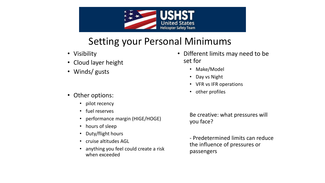

# Setting your Personal Minimums

- Visibility
- Cloud layer height
- Winds/ gusts
- Other options:
	- pilot recency
	- fuel reserves
	- performance margin (HIGE/HOGE)
	- hours of sleep
	- Duty/flight hours
	- cruise altitudes AGL
	- anything you feel could create a risk when exceeded
- Different limits may need to be set for
	- Make/Model
	- Day vs Night
	- VFR vs IFR operations
	- other profiles

Be creative: what pressures will you face?

- Predetermined limits can reduce the influence of pressures or passengers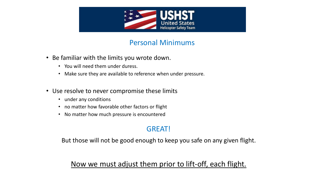

### Personal Minimums

- Be familiar with the limits you wrote down.
	- You will need them under duress.
	- Make sure they are available to reference when under pressure.
- Use resolve to never compromise these limits
	- under any conditions
	- no matter how favorable other factors or flight
	- No matter how much pressure is encountered

### GREAT!

But those will not be good enough to keep you safe on any given flight.

### Now we must adjust them prior to lift-off, each flight.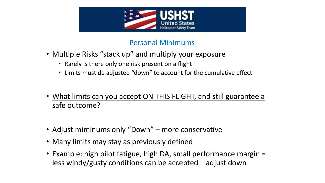

### Personal Minimums

- Multiple Risks "stack up" and multiply your exposure
	- Rarely is there only one risk present on a flight
	- Limits must de adjusted "down" to account for the cumulative effect
- What limits can you accept ON THIS FLIGHT, and still guarantee a safe outcome?
- Adjust miminums only "Down" more conservative
- Many limits may stay as previously defined
- Example: high pilot fatigue, high DA, small performance margin = less windy/gusty conditions can be accepted – adjust down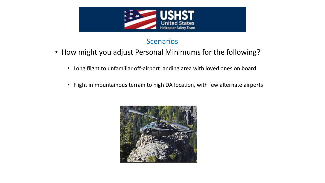

### **Scenarios**

- How might you adjust Personal Minimums for the following?
	- Long flight to unfamiliar off-airport landing area with loved ones on board
	- Flight in mountainous terrain to high DA location, with few alternate airports

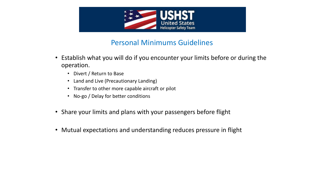

### Personal Minimums Guidelines

- Establish what you will do if you encounter your limits before or during the operation.
	- Divert / Return to Base
	- Land and Live (Precautionary Landing)
	- Transfer to other more capable aircraft or pilot
	- No-go / Delay for better conditions
- Share your limits and plans with your passengers before flight
- Mutual expectations and understanding reduces pressure in flight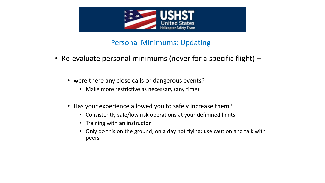

### Personal Minimums: Updating

- Re-evaluate personal minimums (never for a specific flight)
	- were there any close calls or dangerous events?
		- Make more restrictive as necessary (any time)
	- Has your experience allowed you to safely increase them?
		- Consistently safe/low risk operations at your definined limits
		- Training with an instructor
		- Only do this on the ground, on a day not flying: use caution and talk with peers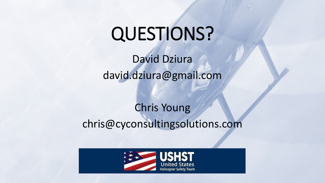# QUESTIONS?

David Dziura david.dziura@gmail.com

# Chris Young chris@cyconsultingsolutions.com

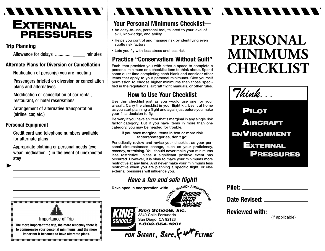## *MARAZZANAR* **EXTERNAL PRESSURES**

#### **Trip Planning**

Allowance for delays .............. \_\_\_\_\_ minutes

#### **Alternate Plans for Diversion or Cancellation**

Notification of person(s) you are meeting

Passengers briefed on diversion or cancellation plans and alternatives

Modification or cancellation of car rental, restaurant, or hotel reservations

Arrangement of alternative transportation (airline, car, etc.)

#### **Personal Equipment**

Credit card and telephone numbers available for alternate plans

Appropriate clothing or personal needs (eye wear, medication...) in the event of unexpected stay



# VAARAA VAN SIDELE

#### **Your Personal Minimums Checklist—**

- **An easy-to-use, personal tool, tailored to your level of skill, knowledge, and ability**
- **Helps you control and manage risk by identifying even subtle risk factors**
- **Lets you fly with less stress and less risk**

#### **Practice "Conservatism Without Guilt"**

**Each item provides you with either a space to complete a personal minimum or a checklist item to think about. Spend some quiet time completing each blank and consider other items that apply to your personal minimums. Give yourself permission to choose higher minimums than those specified in the regulations, aircraft flight manuals, or other rules.**

### **How to Use Your Checklist**

**Use this checklist just as you would use one for your aircraft. Carry the checklist in your flight kit. Use it at home as you start planning a flight and again just before you make your final decision to fly.**

**Be wary if you have an item that's marginal in any single risk factor category. But if you have items in more than one category, you may be headed for trouble.**

#### **If you have marginal items in two or more risk factors/categories, don't go!**

**Periodically review and revise your checklist as your personal circumstances change, such as your proficiency, recency, or training. You should never make your minimums less restrictive unless a significant positive event has occurred. However, it is okay to make your minimums more restrictive at any time. And never make your minimums less restrictive when you are planning a specific flight, or else external pressures will influence you.**

# *Have a fun and safe flight!*<br>ed in coorperation with:<br>ed in coorperation with:

**Developed in coorperation with:**



なり

#### ®*King Schools, Inc.* **HOOLS**

**3840 Calle Fortunada San Diego, CA 92123** *1-800-854-1001*

FOR SMART, SAFE, & N

# **PERSONAL MINIMUMS CHECKLIST**



**PILOT AIRCRAFT ENVIRONMENT EXTERNAL PRESSURES**

| Pilot: ___              |                                                 |
|-------------------------|-------------------------------------------------|
| Date Revised:           |                                                 |
| <b>Reviewed with: _</b> |                                                 |
|                         | $1:1 \times 1:2 \times 1:2 \times 1:1 \times 1$ |

(if applicable)